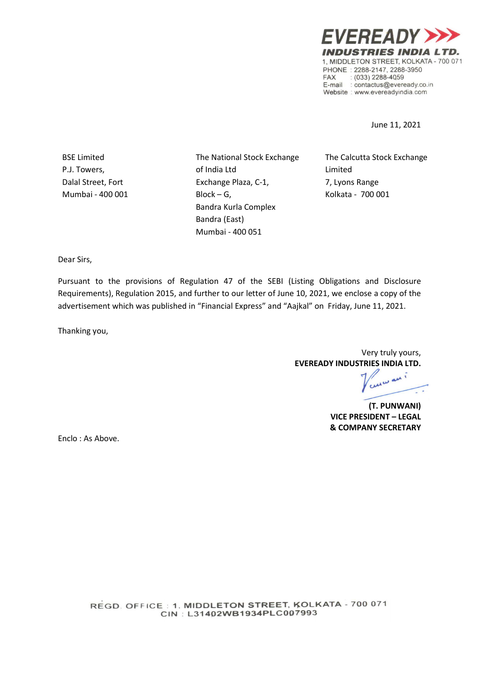**EVEREADY) INDUSTRIES INDIA LTD.** 1. MIDDLETON STREET, KOLKATA - 700 071 PHONE: 2288-2147, 2288-3950  $(033)$  2288-4059 **FAX** E-mail : contactus@eveready.co.in Website : www.evereadyindia.com

June 11, 2021

BSE Limited P.J. Towers, Dalal Street, Fort Mumbai - 400 001 The National Stock Exchange of India Ltd Exchange Plaza, C-1, Block – G, Bandra Kurla Complex Bandra (East) Mumbai - 400 051

The Calcutta Stock Exchange Limited 7, Lyons Range Kolkata - 700 001

Dear Sirs,

Pursuant to the provisions of Regulation 47 of the SEBI (Listing Obligations and Disclosure Requirements), Regulation 2015, and further to our letter of June 10, 2021, we enclose a copy of the advertisement which was published in "Financial Express" and "Aajkal" on Friday, June 11, 2021.

Thanking you,

Very truly yours, EVEREADY INDUSTRIES INDIA LTD.

(T. PUNWANI) VICE PRESIDENT – LEGAL & COMPANY SECRETARY

Enclo : As Above.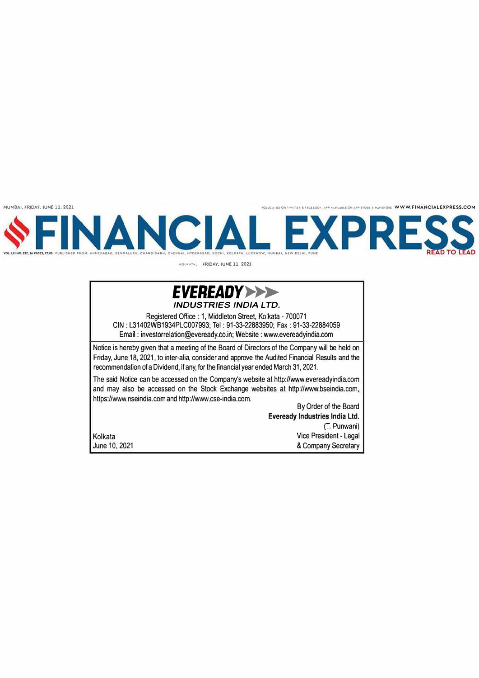**MUMBAI, FRIDAY, JUNE 11, 2021** *<b>DILLEXPRESS.COM PHOTORS ASSESTED ASSESS.COM AND A CONTINUES A FACEBOOK, APP AVAILABLE CHAPP STORE FIRAISTORE* **WWW.FINANCIALEXPRESS.COM** 



**•o""•· FRIDAY, JUNE 11, 2021** 

## *EVEREADY*►►► *INDUSTRIES IND/A LTD.*

Registered Office: 1, Middleton Street, Kolkata - 700071 CIN : L31402WB1934PLC007993; Tel: 91-33-22883950; Fax: 91-33-22884059 Email: investorrelation@eveready.co.in; Website: www.evereadyindia.com

Notice is hereby given that a meeting of the Board of Directors of the Company will be held on Friday, June 18, 2021, to inter-alia, consider and approve the Audited Financial Results and the recommendation of a Dividend, if any, for the financial year ended March 31, 2021.

The said Notice can be accessed on the Company's website at http://www.evereadyindia.com and may also be accessed on the Stock Exchange websites at http://www.bseindia.com, https://www.nseindia.comand http://www.cse-india.com.

By Order of the Board **Eveready Industries India Ltd.**  (T. Punwani) Vice President - Legal & Company Secretary

Kolkata June 10, 2021